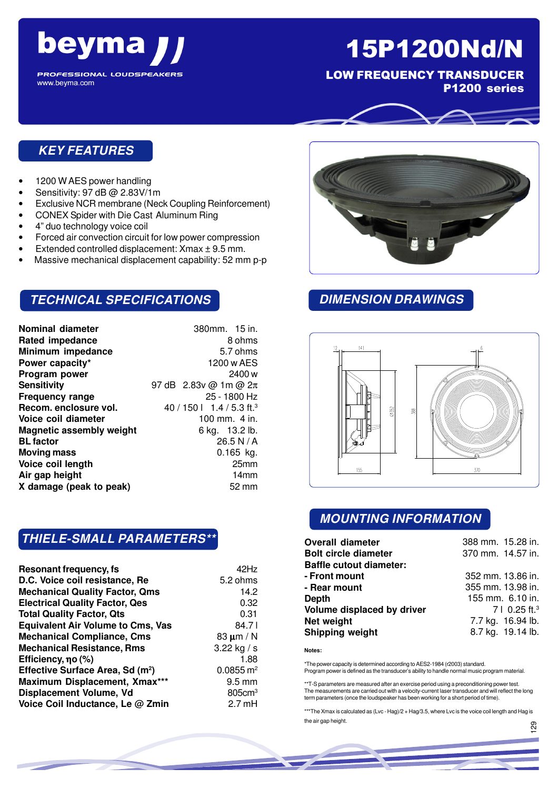

**PROFESSIONAL LOUDSPEAKERS** www.beyma.com

# 15P1200Nd/N

LOW FREQUENCY TRANSDUCER

P1200 series

## **KEY FEATURES**

- 1200 W AES power handling
- Sensitivity: 97 dB @ 2.83V/1m
- Exclusive NCR membrane (Neck Coupling Reinforcement)
- CONEX Spider with Die Cast Aluminum Ring
- 4" duo technology voice coil
- Forced air convection circuit for low power compression
- Extended controlled displacement: Xmax ± 9.5 mm.
- Massive mechanical displacement capability: 52 mm p-p

## **TECHNICAL SPECIFICATIONS**

| <b>Nominal diameter</b>         | 380mm. 15 in.                         |
|---------------------------------|---------------------------------------|
| <b>Rated impedance</b>          | 8 ohms                                |
| Minimum impedance               | 5.7 ohms                              |
| Power capacity*                 | 1200 w AES                            |
| Program power                   | 2400 w                                |
| Sensitivity                     | 97 dB $2.83v$ @ 1m @ $2\pi$           |
| <b>Frequency range</b>          | 25 - 1800 Hz                          |
| Recom. enclosure vol.           | 40 / 150   1.4 / 5.3 ft. <sup>3</sup> |
| Voice coil diameter             | 100 mm. $4$ in.                       |
| <b>Magnetic assembly weight</b> | 6 kg. 13.2 lb.                        |
| <b>BL</b> factor                | 26.5 N / A                            |
| <b>Moving mass</b>              | $0.165$ kg.                           |
| Voice coil length               | 25mm                                  |
| Air gap height                  | 14 <sub>mm</sub>                      |
| X damage (peak to peak)         | 52 mm                                 |
|                                 |                                       |

### **THIELE-SMALL PARAMETERS\*\***

| <b>Resonant frequency, fs</b>                | 42Hz                 |
|----------------------------------------------|----------------------|
| D.C. Voice coil resistance, Re               | 5.2 ohms             |
| <b>Mechanical Quality Factor, Qms</b>        | 14.2                 |
| <b>Electrical Quality Factor, Qes</b>        | 0.32                 |
| <b>Total Quality Factor, Qts</b>             | 0.31                 |
| <b>Equivalent Air Volume to Cms, Vas</b>     | 84.71                |
| <b>Mechanical Compliance, Cms</b>            | 83 $\mu$ m / N       |
| <b>Mechanical Resistance, Rms</b>            | 3.22 kg / s          |
| Efficiency, no (%)                           | 1.88                 |
| Effective Surface Area, Sd (m <sup>2</sup> ) | $0.0855 \text{ m}^2$ |
| Maximum Displacement, Xmax***                | $9.5 \text{ mm}$     |
| Displacement Volume, Vd                      | 805cm <sup>3</sup>   |
| Voice Coil Inductance, Le @ Zmin             | $2.7 \text{ mH}$     |



## **DIMENSION DRAWINGS**



## **MOUNTING INFORMATION**

| <b>Overall diameter</b>        | 388 mm. 15.28 in.         |
|--------------------------------|---------------------------|
| <b>Bolt circle diameter</b>    | 370 mm. 14.57 in.         |
| <b>Baffle cutout diameter:</b> |                           |
| - Front mount                  | 352 mm. 13.86 in.         |
| - Rear mount                   | 355 mm. 13.98 in.         |
| Depth                          | 155 mm. 6.10 in.          |
| Volume displaced by driver     | 7   0.25 ft. <sup>3</sup> |
| Net weight                     | 7.7 kg. 16.94 lb.         |
| Shipping weight                | 8.7 kg. 19.14 lb.         |

**Notes:**

\*The power capacity is determined according to AES2-1984 (r2003) standard. Program power is defined as the transducer's ability to handle normal music program material.

\*\*T-S parameters are measured after an exercise period using a preconditioning power test. The measurements are carried out with a velocity-current laser transducer and will reflect the long term parameters (once the loudspeaker has been working for a short period of time).

\*\*\*The Xmax is calculated as (Lvc - Hag)/2 + Hag/3.5, where Lvc is the voice coil length and Hag is the air gap height.

056